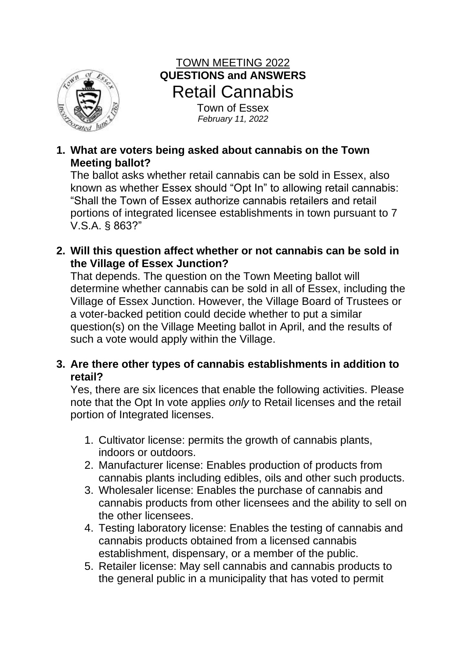

# TOWN MEETING 2022 **QUESTIONS and ANSWERS** Retail Cannabis

Town of Essex *February 11, 2022*

**1. What are voters being asked about cannabis on the Town Meeting ballot?** 

The ballot asks whether retail cannabis can be sold in Essex, also known as whether Essex should "Opt In" to allowing retail cannabis: "Shall the Town of Essex authorize cannabis retailers and retail portions of integrated licensee establishments in town pursuant to 7 V.S.A. § 863?"

**2. Will this question affect whether or not cannabis can be sold in the Village of Essex Junction?** 

That depends. The question on the Town Meeting ballot will determine whether cannabis can be sold in all of Essex, including the Village of Essex Junction. However, the Village Board of Trustees or a voter-backed petition could decide whether to put a similar question(s) on the Village Meeting ballot in April, and the results of such a vote would apply within the Village.

**3. Are there other types of cannabis establishments in addition to retail?** 

Yes, there are six licences that enable the following activities. Please note that the Opt In vote applies *only* to Retail licenses and the retail portion of Integrated licenses.

- 1. Cultivator license: permits the growth of cannabis plants, indoors or outdoors.
- 2. Manufacturer license: Enables production of products from cannabis plants including edibles, oils and other such products.
- 3. Wholesaler license: Enables the purchase of cannabis and cannabis products from other licensees and the ability to sell on the other licensees.
- 4. Testing laboratory license: Enables the testing of cannabis and cannabis products obtained from a licensed cannabis establishment, dispensary, or a member of the public.
- 5. Retailer license: May sell cannabis and cannabis products to the general public in a municipality that has voted to permit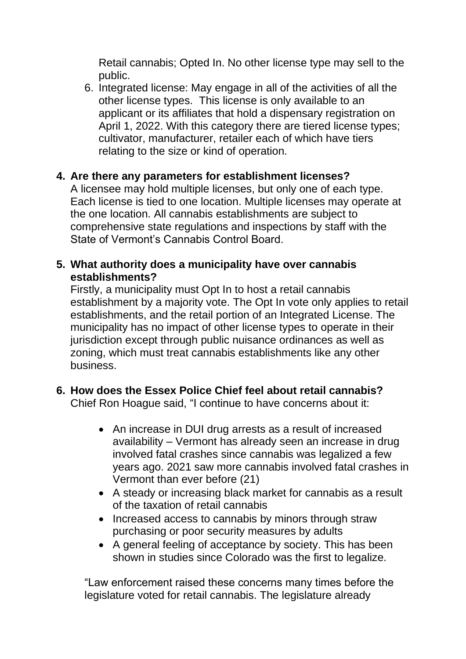Retail cannabis; Opted In. No other license type may sell to the public.

6. Integrated license: May engage in all of the activities of all the other license types. This license is only available to an applicant or its affiliates that hold a dispensary registration on April 1, 2022. With this category there are tiered license types; cultivator, manufacturer, retailer each of which have tiers relating to the size or kind of operation.

## **4. Are there any parameters for establishment licenses?**

A licensee may hold multiple licenses, but only one of each type. Each license is tied to one location. Multiple licenses may operate at the one location. All cannabis establishments are subject to comprehensive state regulations and inspections by staff with the State of Vermont's Cannabis Control Board.

## **5. What authority does a municipality have over cannabis establishments?**

Firstly, a municipality must Opt In to host a retail cannabis establishment by a majority vote. The Opt In vote only applies to retail establishments, and the retail portion of an Integrated License. The municipality has no impact of other license types to operate in their jurisdiction except through public nuisance ordinances as well as zoning, which must treat cannabis establishments like any other business.

# **6. How does the Essex Police Chief feel about retail cannabis?**

Chief Ron Hoague said, "I continue to have concerns about it:

- An increase in DUI drug arrests as a result of increased availability – Vermont has already seen an increase in drug involved fatal crashes since cannabis was legalized a few years ago. 2021 saw more cannabis involved fatal crashes in Vermont than ever before (21)
- A steady or increasing black market for cannabis as a result of the taxation of retail cannabis
- Increased access to cannabis by minors through straw purchasing or poor security measures by adults
- A general feeling of acceptance by society. This has been shown in studies since Colorado was the first to legalize.

"Law enforcement raised these concerns many times before the legislature voted for retail cannabis. The legislature already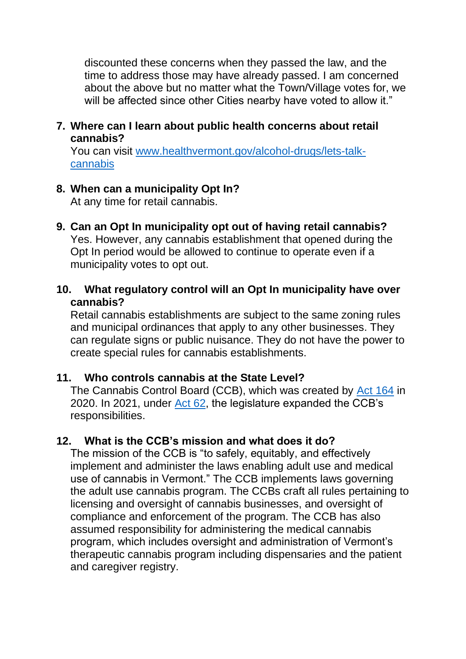discounted these concerns when they passed the law, and the time to address those may have already passed. I am concerned about the above but no matter what the Town/Village votes for, we will be affected since other Cities nearby have voted to allow it."

#### **7. Where can I learn about public health concerns about retail cannabis?**

You can visit [www.healthvermont.gov/alcohol-drugs/lets-talk](http://www.healthvermont.gov/alcohol-drugs/lets-talk-cannabis)[cannabis](http://www.healthvermont.gov/alcohol-drugs/lets-talk-cannabis)

#### **8. When can a municipality Opt In?**

At any time for retail cannabis.

- **9. Can an Opt In municipality opt out of having retail cannabis?** Yes. However, any cannabis establishment that opened during the Opt In period would be allowed to continue to operate even if a municipality votes to opt out.
- **10. What regulatory control will an Opt In municipality have over cannabis?**

Retail cannabis establishments are subject to the same zoning rules and municipal ordinances that apply to any other businesses. They can regulate signs or public nuisance. They do not have the power to create special rules for cannabis establishments.

#### **11. Who controls cannabis at the State Level?**

The Cannabis Control Board (CCB), which was created by [Act 164](https://ccb.vermont.gov/sites/ccb/files/documents/ACT164%20As%20Enacted_1.pdf) in 2020. In 2021, under [Act 62,](https://ccb.vermont.gov/sites/ccb/files/2021-12/ACT062%20As%20Enacted.pdf) the legislature expanded the CCB's responsibilities.

## **12. What is the CCB's mission and what does it do?**

The mission of the CCB is "to safely, equitably, and effectively implement and administer the laws enabling adult use and medical use of cannabis in Vermont." The CCB implements laws governing the adult use cannabis program. The CCBs craft all rules pertaining to licensing and oversight of cannabis businesses, and oversight of compliance and enforcement of the program. The CCB has also assumed responsibility for administering the medical cannabis program, which includes oversight and administration of Vermont's therapeutic cannabis program including dispensaries and the patient and caregiver registry.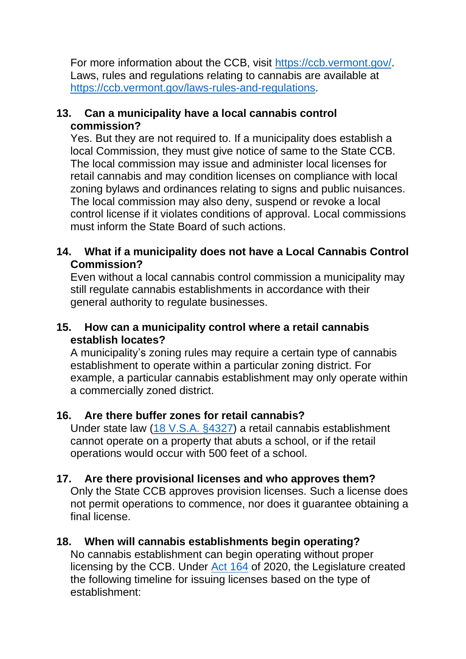For more information about the CCB, visit [https://ccb.vermont.gov/.](https://ccb.vermont.gov/) Laws, rules and regulations relating to cannabis are available at [https://ccb.vermont.gov/laws-rules-and-regulations.](https://ccb.vermont.gov/laws-rules-and-regulations)

#### **13. Can a municipality have a local cannabis control commission?**

Yes. But they are not required to. If a municipality does establish a local Commission, they must give notice of same to the State CCB. The local commission may issue and administer local licenses for retail cannabis and may condition licenses on compliance with local zoning bylaws and ordinances relating to signs and public nuisances. The local commission may also deny, suspend or revoke a local control license if it violates conditions of approval. Local commissions must inform the State Board of such actions.

#### **14. What if a municipality does not have a Local Cannabis Control Commission?**

Even without a local cannabis control commission a municipality may still regulate cannabis establishments in accordance with their general authority to regulate businesses.

#### **15. How can a municipality control where a retail cannabis establish locates?**

A municipality's zoning rules may require a certain type of cannabis establishment to operate within a particular zoning district. For example, a particular cannabis establishment may only operate within a commercially zoned district.

## **16. Are there buffer zones for retail cannabis?**

Under state law [\(18 V.S.A. §4327\)](https://legislature.vermont.gov/statutes/section/18/084/04237) a retail cannabis establishment cannot operate on a property that abuts a school, or if the retail operations would occur with 500 feet of a school.

## **17. Are there provisional licenses and who approves them?**

Only the State CCB approves provision licenses. Such a license does not permit operations to commence, nor does it guarantee obtaining a final license.

## **18. When will cannabis establishments begin operating?**

No cannabis establishment can begin operating without proper licensing by the CCB. Under [Act 164](https://ccb.vermont.gov/sites/ccb/files/documents/ACT164%20As%20Enacted_1.pdf) of 2020, the Legislature created the following timeline for issuing licenses based on the type of establishment: